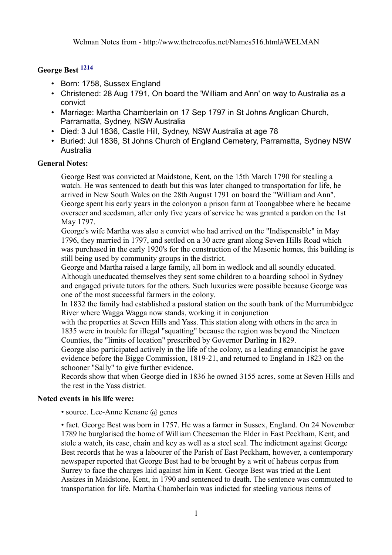## **George Best [1214](http://www.thetreeofus.net/Sources.html#1214)**

- Born: 1758, Sussex England
- Christened: 28 Aug 1791, On board the 'William and Ann' on way to Australia as a convict
- Marriage: Martha Chamberlain on 17 Sep 1797 in St Johns Anglican Church, Parramatta, Sydney, NSW Australia
- Died: 3 Jul 1836, Castle Hill, Sydney, NSW Australia at age 78
- Buried: Jul 1836, St Johns Church of England Cemetery, Parramatta, Sydney NSW **Australia**

#### **General Notes:**

George Best was convicted at Maidstone, Kent, on the 15th March 1790 for stealing a watch. He was sentenced to death but this was later changed to transportation for life, he arrived in New South Wales on the 28th August 1791 on board the "William and Ann". George spent his early years in the colonyon a prison farm at Toongabbee where he became overseer and seedsman, after only five years of service he was granted a pardon on the 1st May 1797.

George's wife Martha was also a convict who had arrived on the "Indispensible" in May 1796, they married in 1797, and settled on a 30 acre grant along Seven Hills Road which was purchased in the early 1920's for the construction of the Masonic homes, this building is still being used by community groups in the district.

George and Martha raised a large family, all born in wedlock and all soundly educated. Although uneducated themselves they sent some children to a boarding school in Sydney and engaged private tutors for the others. Such luxuries were possible because George was one of the most successful farmers in the colony.

In 1832 the family had established a pastoral station on the south bank of the Murrumbidgee River where Wagga Wagga now stands, working it in conjunction

with the properties at Seven Hills and Yass. This station along with others in the area in 1835 were in trouble for illegal "squatting" because the region was beyond the Nineteen Counties, the "limits of location" prescribed by Governor Darling in 1829.

George also participated actively in the life of the colony, as a leading emancipist he gave evidence before the Bigge Commission, 1819-21, and returned to England in 1823 on the schooner "Sally" to give further evidence.

Records show that when George died in 1836 he owned 3155 acres, some at Seven Hills and the rest in the Yass district.

#### **Noted events in his life were:**

• source. Lee-Anne Kenane @ genes

• fact. George Best was born in 1757. He was a farmer in Sussex, England. On 24 November 1789 he burglarised the home of William Cheeseman the Elder in East Peckham, Kent, and stole a watch, its case, chain and key as well as a steel seal. The indictment against George Best records that he was a labourer of the Parish of East Peckham, however, a contemporary newspaper reported that George Best had to be brought by a writ of habeus corpus from Surrey to face the charges laid against him in Kent. George Best was tried at the Lent Assizes in Maidstone, Kent, in 1790 and sentenced to death. The sentence was commuted to transportation for life. Martha Chamberlain was indicted for steeling various items of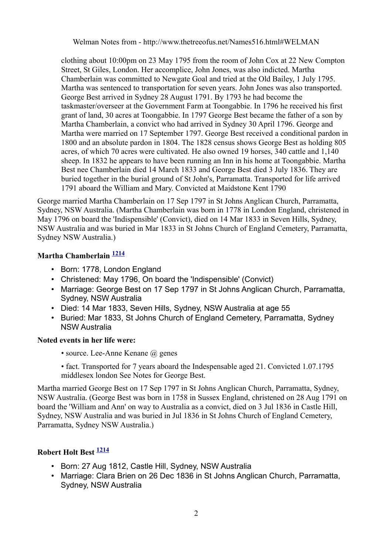clothing about 10:00pm on 23 May 1795 from the room of John Cox at 22 New Compton Street, St Giles, London. Her accomplice, John Jones, was also indicted. Martha Chamberlain was committed to Newgate Goal and tried at the Old Bailey, 1 July 1795. Martha was sentenced to transportation for seven years. John Jones was also transported. George Best arrived in Sydney 28 August 1791. By 1793 he had become the taskmaster/overseer at the Government Farm at Toongabbie. In 1796 he received his first grant of land, 30 acres at Toongabbie. In 1797 George Best became the father of a son by Martha Chamberlain, a convict who had arrived in Sydney 30 April 1796. George and Martha were married on 17 September 1797. George Best received a conditional pardon in 1800 and an absolute pardon in 1804. The 1828 census shows George Best as holding 805 acres, of which 70 acres were cultivated. He also owned 19 horses, 340 cattle and 1,140 sheep. In 1832 he appears to have been running an Inn in his home at Toongabbie. Martha Best nee Chamberlain died 14 March 1833 and George Best died 3 July 1836. They are buried together in the burial ground of St John's, Parramatta. Transported for life arrived 1791 aboard the William and Mary. Convicted at Maidstone Kent 1790

George married Martha Chamberlain on 17 Sep 1797 in St Johns Anglican Church, Parramatta, Sydney, NSW Australia. (Martha Chamberlain was born in 1778 in London England, christened in May 1796 on board the 'Indispensible' (Convict), died on 14 Mar 1833 in Seven Hills, Sydney, NSW Australia and was buried in Mar 1833 in St Johns Church of England Cemetery, Parramatta, Sydney NSW Australia.)

## **Martha Chamberlain [1214](http://www.thetreeofus.net/Sources.html#1214)**

- Born: 1778, London England
- Christened: May 1796, On board the 'Indispensible' (Convict)
- Marriage: George Best on 17 Sep 1797 in St Johns Anglican Church, Parramatta, Sydney, NSW Australia
- Died: 14 Mar 1833, Seven Hills, Sydney, NSW Australia at age 55
- Buried: Mar 1833, St Johns Church of England Cemetery, Parramatta, Sydney NSW Australia

#### **Noted events in her life were:**

- source. Lee-Anne Kenane  $\omega$  genes
- fact. Transported for 7 years aboard the Indespensable aged 21. Convicted 1.07.1795 middlesex london See Notes for George Best.

Martha married George Best on 17 Sep 1797 in St Johns Anglican Church, Parramatta, Sydney, NSW Australia. (George Best was born in 1758 in Sussex England, christened on 28 Aug 1791 on board the 'William and Ann' on way to Australia as a convict, died on 3 Jul 1836 in Castle Hill, Sydney, NSW Australia and was buried in Jul 1836 in St Johns Church of England Cemetery, Parramatta, Sydney NSW Australia.)

# **Robert Holt Best [1214](http://www.thetreeofus.net/Sources.html#1214)**

- Born: 27 Aug 1812, Castle Hill, Sydney, NSW Australia
- Marriage: Clara Brien on 26 Dec 1836 in St Johns Anglican Church, Parramatta, Sydney, NSW Australia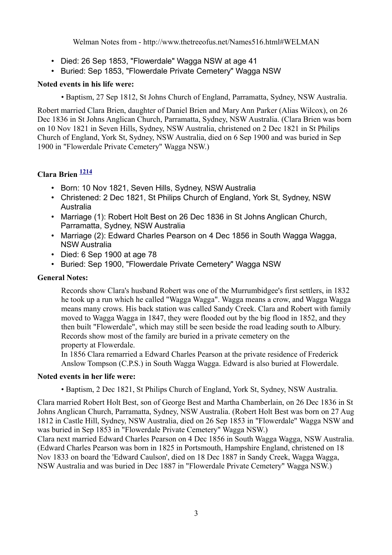- Died: 26 Sep 1853, "Flowerdale" Wagga NSW at age 41
- Buried: Sep 1853, "Flowerdale Private Cemetery" Wagga NSW

#### **Noted events in his life were:**

• Baptism, 27 Sep 1812, St Johns Church of England, Parramatta, Sydney, NSW Australia.

Robert married Clara Brien, daughter of Daniel Brien and Mary Ann Parker (Alias Wilcox), on 26 Dec 1836 in St Johns Anglican Church, Parramatta, Sydney, NSW Australia. (Clara Brien was born on 10 Nov 1821 in Seven Hills, Sydney, NSW Australia, christened on 2 Dec 1821 in St Philips Church of England, York St, Sydney, NSW Australia, died on 6 Sep 1900 and was buried in Sep 1900 in "Flowerdale Private Cemetery" Wagga NSW.)

## **Clara Brien [1214](http://www.thetreeofus.net/Sources.html#1214)**

- Born: 10 Nov 1821, Seven Hills, Sydney, NSW Australia
- Christened: 2 Dec 1821, St Philips Church of England, York St, Sydney, NSW Australia
- Marriage (1): Robert Holt Best on 26 Dec 1836 in St Johns Anglican Church, Parramatta, Sydney, NSW Australia
- Marriage (2): Edward Charles Pearson on 4 Dec 1856 in South Wagga Wagga, NSW Australia
- Died: 6 Sep 1900 at age 78
- Buried: Sep 1900, "Flowerdale Private Cemetery" Wagga NSW

### **General Notes:**

Records show Clara's husband Robert was one of the Murrumbidgee's first settlers, in 1832 he took up a run which he called "Wagga Wagga". Wagga means a crow, and Wagga Wagga means many crows. His back station was called Sandy Creek. Clara and Robert with family moved to Wagga Wagga in 1847, they were flooded out by the big flood in 1852, and they then built "Flowerdale", which may still be seen beside the road leading south to Albury. Records show most of the family are buried in a private cemetery on the property at Flowerdale.

In 1856 Clara remarried a Edward Charles Pearson at the private residence of Frederick Anslow Tompson (C.P.S.) in South Wagga Wagga. Edward is also buried at Flowerdale.

#### **Noted events in her life were:**

• Baptism, 2 Dec 1821, St Philips Church of England, York St, Sydney, NSW Australia.

Clara married Robert Holt Best, son of George Best and Martha Chamberlain, on 26 Dec 1836 in St Johns Anglican Church, Parramatta, Sydney, NSW Australia. (Robert Holt Best was born on 27 Aug 1812 in Castle Hill, Sydney, NSW Australia, died on 26 Sep 1853 in "Flowerdale" Wagga NSW and was buried in Sep 1853 in "Flowerdale Private Cemetery" Wagga NSW.)

Clara next married Edward Charles Pearson on 4 Dec 1856 in South Wagga Wagga, NSW Australia. (Edward Charles Pearson was born in 1825 in Portsmouth, Hampshire England, christened on 18 Nov 1833 on board the 'Edward Caulson', died on 18 Dec 1887 in Sandy Creek, Wagga Wagga, NSW Australia and was buried in Dec 1887 in "Flowerdale Private Cemetery" Wagga NSW.)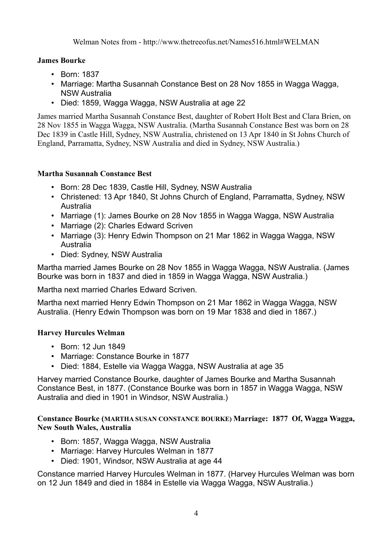## **James Bourke**

- Born: 1837
- Marriage: Martha Susannah Constance Best on 28 Nov 1855 in Wagga Wagga, NSW Australia
- Died: 1859, Wagga Wagga, NSW Australia at age 22

James married Martha Susannah Constance Best, daughter of Robert Holt Best and Clara Brien, on 28 Nov 1855 in Wagga Wagga, NSW Australia. (Martha Susannah Constance Best was born on 28 Dec 1839 in Castle Hill, Sydney, NSW Australia, christened on 13 Apr 1840 in St Johns Church of England, Parramatta, Sydney, NSW Australia and died in Sydney, NSW Australia.)

## **Martha Susannah Constance Best**

- Born: 28 Dec 1839, Castle Hill, Sydney, NSW Australia
- Christened: 13 Apr 1840, St Johns Church of England, Parramatta, Sydney, NSW Australia
- Marriage (1): James Bourke on 28 Nov 1855 in Wagga Wagga, NSW Australia
- Marriage (2): Charles Edward Scriven
- Marriage (3): Henry Edwin Thompson on 21 Mar 1862 in Wagga Wagga, NSW Australia
- Died: Sydney, NSW Australia

Martha married James Bourke on 28 Nov 1855 in Wagga Wagga, NSW Australia. (James Bourke was born in 1837 and died in 1859 in Wagga Wagga, NSW Australia.)

Martha next married Charles Edward Scriven.

Martha next married Henry Edwin Thompson on 21 Mar 1862 in Wagga Wagga, NSW Australia. (Henry Edwin Thompson was born on 19 Mar 1838 and died in 1867.)

## **Harvey Hurcules Welman**

- Born: 12 Jun 1849
- Marriage: Constance Bourke in 1877
- Died: 1884, Estelle via Wagga Wagga, NSW Australia at age 35

Harvey married Constance Bourke, daughter of James Bourke and Martha Susannah Constance Best, in 1877. (Constance Bourke was born in 1857 in Wagga Wagga, NSW Australia and died in 1901 in Windsor, NSW Australia.)

**Constance Bourke (MARTHA SUSAN CONSTANCE BOURKE) Marriage: 1877 Of, Wagga Wagga, New South Wales, Australia** 

- Born: 1857, Wagga Wagga, NSW Australia
- Marriage: Harvey Hurcules Welman in 1877
- Died: 1901, Windsor, NSW Australia at age 44

Constance married Harvey Hurcules Welman in 1877. (Harvey Hurcules Welman was born on 12 Jun 1849 and died in 1884 in Estelle via Wagga Wagga, NSW Australia.)